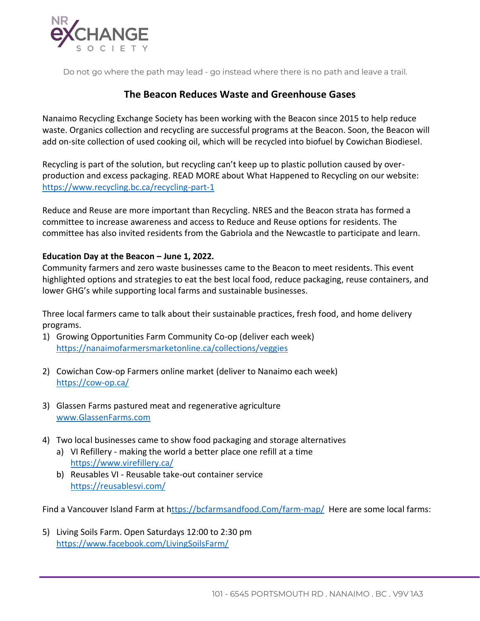

Do not go where the path may lead - go instead where there is no path and leave a trail.

## **The Beacon Reduces Waste and Greenhouse Gases**

Nanaimo Recycling Exchange Society has been working with the Beacon since 2015 to help reduce waste. Organics collection and recycling are successful programs at the Beacon. Soon, the Beacon will add on-site collection of used cooking oil, which will be recycled into biofuel by Cowichan Biodiesel.

Recycling is part of the solution, but recycling can't keep up to plastic pollution caused by overproduction and excess packaging. READ MORE about What Happened to Recycling on our website: <https://www.recycling.bc.ca/recycling-part-1>

Reduce and Reuse are more important than Recycling. NRES and the Beacon strata has formed a committee to increase awareness and access to Reduce and Reuse options for residents. The committee has also invited residents from the Gabriola and the Newcastle to participate and learn.

## **Education Day at the Beacon – June 1, 2022.**

Community farmers and zero waste businesses came to the Beacon to meet residents. This event highlighted options and strategies to eat the best local food, reduce packaging, reuse containers, and lower GHG's while supporting local farms and sustainable businesses.

Three local farmers came to talk about their sustainable practices, fresh food, and home delivery programs.

- 1) Growing Opportunities Farm Community Co-op (deliver each week) <https://nanaimofarmersmarketonline.ca/collections/veggies>
- 2) Cowichan Cow-op Farmers online market (deliver to Nanaimo each week) <https://cow-op.ca/>
- 3) Glassen Farms pastured meat and regenerative agriculture [www.GlassenFarms.com](http://www.glassenfarms.com/)
- 4) Two local businesses came to show food packaging and storage alternatives
	- a) VI Refillery making the world a better place one refill at a time <https://www.virefillery.ca/>
	- b) Reusables VI Reusable take-out container service <https://reusablesvi.com/>

Find a Vancouver Island Farm at [https://bcfarmsandfood.Com/farm-map/](https://bcfarmsandfood.com/farm-map/) Here are some local farms:

5) Living Soils Farm. Open Saturdays 12:00 to 2:30 pm <https://www.facebook.com/LivingSoilsFarm/>